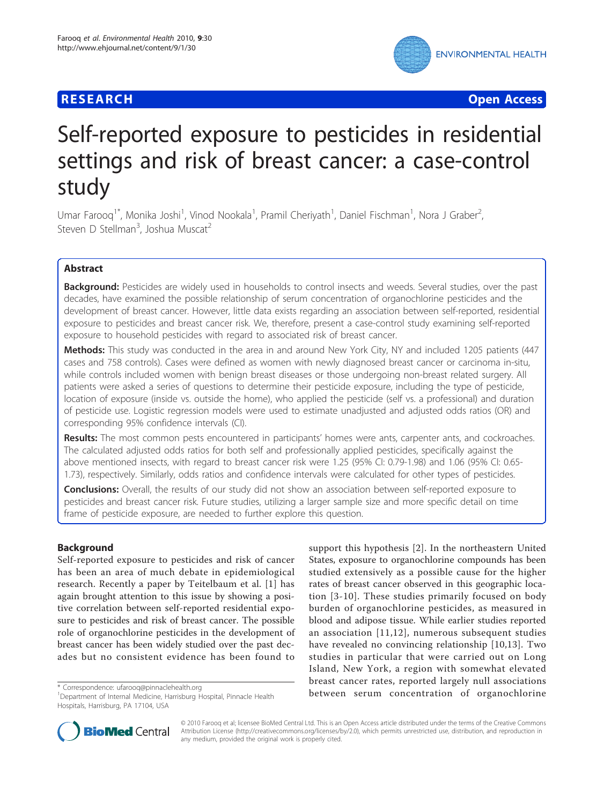# **RESEARCH CONTROL** CONTROL CONTROL CONTROL CONTROL CONTROL CONTROL CONTROL CONTROL CONTROL CONTROL CONTROL CONTROL



# Self-reported exposure to pesticides in residential settings and risk of breast cancer: a case-control study

Umar Farooq<sup>1\*</sup>, Monika Joshi<sup>1</sup>, Vinod Nookala<sup>1</sup>, Pramil Cheriyath<sup>1</sup>, Daniel Fischman<sup>1</sup>, Nora J Graber<sup>2</sup> , Steven D Stellman<sup>3</sup>, Joshua Muscat<sup>2</sup>

# Abstract

Background: Pesticides are widely used in households to control insects and weeds. Several studies, over the past decades, have examined the possible relationship of serum concentration of organochlorine pesticides and the development of breast cancer. However, little data exists regarding an association between self-reported, residential exposure to pesticides and breast cancer risk. We, therefore, present a case-control study examining self-reported exposure to household pesticides with regard to associated risk of breast cancer.

Methods: This study was conducted in the area in and around New York City, NY and included 1205 patients (447 cases and 758 controls). Cases were defined as women with newly diagnosed breast cancer or carcinoma in-situ, while controls included women with benign breast diseases or those undergoing non-breast related surgery. All patients were asked a series of questions to determine their pesticide exposure, including the type of pesticide, location of exposure (inside vs. outside the home), who applied the pesticide (self vs. a professional) and duration of pesticide use. Logistic regression models were used to estimate unadjusted and adjusted odds ratios (OR) and corresponding 95% confidence intervals (CI).

Results: The most common pests encountered in participants' homes were ants, carpenter ants, and cockroaches. The calculated adjusted odds ratios for both self and professionally applied pesticides, specifically against the above mentioned insects, with regard to breast cancer risk were 1.25 (95% CI: 0.79-1.98) and 1.06 (95% CI: 0.65- 1.73), respectively. Similarly, odds ratios and confidence intervals were calculated for other types of pesticides.

**Conclusions:** Overall, the results of our study did not show an association between self-reported exposure to pesticides and breast cancer risk. Future studies, utilizing a larger sample size and more specific detail on time frame of pesticide exposure, are needed to further explore this question.

# Background

Self-reported exposure to pesticides and risk of cancer has been an area of much debate in epidemiological research. Recently a paper by Teitelbaum et al. [[1\]](#page-7-0) has again brought attention to this issue by showing a positive correlation between self-reported residential exposure to pesticides and risk of breast cancer. The possible role of organochlorine pesticides in the development of breast cancer has been widely studied over the past decades but no consistent evidence has been found to

support this hypothesis [\[2](#page-7-0)]. In the northeastern United States, exposure to organochlorine compounds has been studied extensively as a possible cause for the higher rates of breast cancer observed in this geographic location [\[3-10\]](#page-7-0). These studies primarily focused on body burden of organochlorine pesticides, as measured in blood and adipose tissue. While earlier studies reported an association [[11](#page-7-0),[12](#page-7-0)], numerous subsequent studies have revealed no convincing relationship [[10,13\]](#page-7-0). Two studies in particular that were carried out on Long Island, New York, a region with somewhat elevated breast cancer rates, reported largely null associations \* Correspondence: [ufarooq@pinnaclehealth.org](mailto:ufarooq@pinnaclehealth.org)<br>
<sup>1</sup>Department of Internal Medicine Harrisburg Hospital Pinnacle Health **between serum concentration of organochlorine** 



© 2010 Farooq et al; licensee BioMed Central Ltd. This is an Open Access article distributed under the terms of the Creative Commons Attribution License [\(http://creativecommons.org/licenses/by/2.0](http://creativecommons.org/licenses/by/2.0)), which permits unrestricted use, distribution, and reproduction in any medium, provided the original work is properly cited.

<sup>&</sup>lt;sup>1</sup>Department of Internal Medicine, Harrisburg Hospital, Pinnacle Health Hospitals, Harrisburg, PA 17104, USA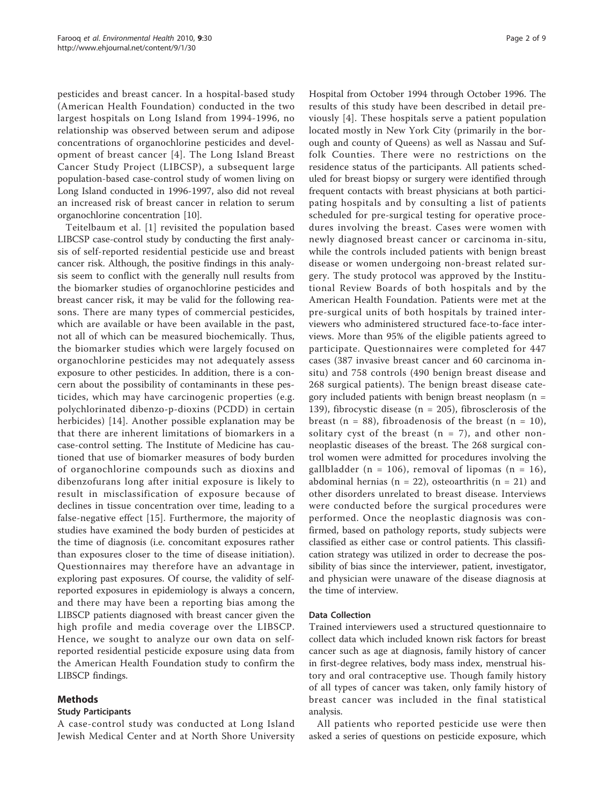pesticides and breast cancer. In a hospital-based study (American Health Foundation) conducted in the two largest hospitals on Long Island from 1994-1996, no relationship was observed between serum and adipose concentrations of organochlorine pesticides and development of breast cancer [[4](#page-7-0)]. The Long Island Breast Cancer Study Project (LIBCSP), a subsequent large population-based case-control study of women living on Long Island conducted in 1996-1997, also did not reveal an increased risk of breast cancer in relation to serum organochlorine concentration [\[10\]](#page-7-0).

Teitelbaum et al. [[1](#page-7-0)] revisited the population based LIBCSP case-control study by conducting the first analysis of self-reported residential pesticide use and breast cancer risk. Although, the positive findings in this analysis seem to conflict with the generally null results from the biomarker studies of organochlorine pesticides and breast cancer risk, it may be valid for the following reasons. There are many types of commercial pesticides, which are available or have been available in the past, not all of which can be measured biochemically. Thus, the biomarker studies which were largely focused on organochlorine pesticides may not adequately assess exposure to other pesticides. In addition, there is a concern about the possibility of contaminants in these pesticides, which may have carcinogenic properties (e.g. polychlorinated dibenzo-p-dioxins (PCDD) in certain herbicides) [\[14\]](#page-7-0). Another possible explanation may be that there are inherent limitations of biomarkers in a case-control setting. The Institute of Medicine has cautioned that use of biomarker measures of body burden of organochlorine compounds such as dioxins and dibenzofurans long after initial exposure is likely to result in misclassification of exposure because of declines in tissue concentration over time, leading to a false-negative effect [[15\]](#page-7-0). Furthermore, the majority of studies have examined the body burden of pesticides at the time of diagnosis (i.e. concomitant exposures rather than exposures closer to the time of disease initiation). Questionnaires may therefore have an advantage in exploring past exposures. Of course, the validity of selfreported exposures in epidemiology is always a concern, and there may have been a reporting bias among the LIBSCP patients diagnosed with breast cancer given the high profile and media coverage over the LIBSCP. Hence, we sought to analyze our own data on selfreported residential pesticide exposure using data from the American Health Foundation study to confirm the LIBSCP findings.

# Methods

#### Study Participants

A case-control study was conducted at Long Island Jewish Medical Center and at North Shore University Hospital from October 1994 through October 1996. The results of this study have been described in detail previously [\[4](#page-7-0)]. These hospitals serve a patient population located mostly in New York City (primarily in the borough and county of Queens) as well as Nassau and Suffolk Counties. There were no restrictions on the residence status of the participants. All patients scheduled for breast biopsy or surgery were identified through frequent contacts with breast physicians at both participating hospitals and by consulting a list of patients scheduled for pre-surgical testing for operative procedures involving the breast. Cases were women with newly diagnosed breast cancer or carcinoma in-situ, while the controls included patients with benign breast disease or women undergoing non-breast related surgery. The study protocol was approved by the Institutional Review Boards of both hospitals and by the American Health Foundation. Patients were met at the pre-surgical units of both hospitals by trained interviewers who administered structured face-to-face interviews. More than 95% of the eligible patients agreed to participate. Questionnaires were completed for 447 cases (387 invasive breast cancer and 60 carcinoma insitu) and 758 controls (490 benign breast disease and 268 surgical patients). The benign breast disease category included patients with benign breast neoplasm  $(n =$ 139), fibrocystic disease ( $n = 205$ ), fibrosclerosis of the breast ( $n = 88$ ), fibroadenosis of the breast ( $n = 10$ ), solitary cyst of the breast  $(n = 7)$ , and other nonneoplastic diseases of the breast. The 268 surgical control women were admitted for procedures involving the gallbladder (n = 106), removal of lipomas (n = 16), abdominal hernias ( $n = 22$ ), osteoarthritis ( $n = 21$ ) and other disorders unrelated to breast disease. Interviews were conducted before the surgical procedures were performed. Once the neoplastic diagnosis was confirmed, based on pathology reports, study subjects were classified as either case or control patients. This classification strategy was utilized in order to decrease the possibility of bias since the interviewer, patient, investigator, and physician were unaware of the disease diagnosis at the time of interview.

# Data Collection

Trained interviewers used a structured questionnaire to collect data which included known risk factors for breast cancer such as age at diagnosis, family history of cancer in first-degree relatives, body mass index, menstrual history and oral contraceptive use. Though family history of all types of cancer was taken, only family history of breast cancer was included in the final statistical analysis.

All patients who reported pesticide use were then asked a series of questions on pesticide exposure, which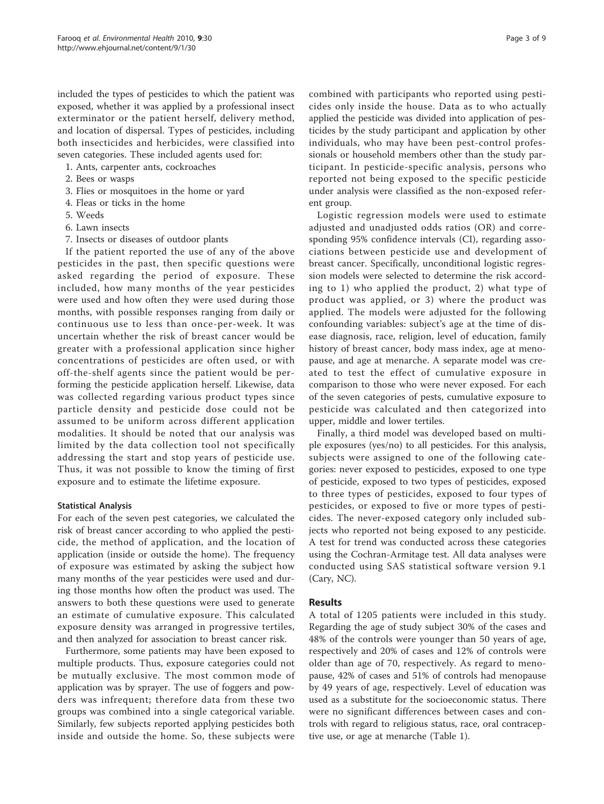included the types of pesticides to which the patient was exposed, whether it was applied by a professional insect exterminator or the patient herself, delivery method, and location of dispersal. Types of pesticides, including both insecticides and herbicides, were classified into seven categories. These included agents used for:

- 1. Ants, carpenter ants, cockroaches
- 2. Bees or wasps
- 3. Flies or mosquitoes in the home or yard
- 4. Fleas or ticks in the home
- 5. Weeds
- 6. Lawn insects
- 7. Insects or diseases of outdoor plants

If the patient reported the use of any of the above pesticides in the past, then specific questions were asked regarding the period of exposure. These included, how many months of the year pesticides were used and how often they were used during those months, with possible responses ranging from daily or continuous use to less than once-per-week. It was uncertain whether the risk of breast cancer would be greater with a professional application since higher concentrations of pesticides are often used, or with off-the-shelf agents since the patient would be performing the pesticide application herself. Likewise, data was collected regarding various product types since particle density and pesticide dose could not be assumed to be uniform across different application modalities. It should be noted that our analysis was limited by the data collection tool not specifically addressing the start and stop years of pesticide use. Thus, it was not possible to know the timing of first exposure and to estimate the lifetime exposure.

#### Statistical Analysis

For each of the seven pest categories, we calculated the risk of breast cancer according to who applied the pesticide, the method of application, and the location of application (inside or outside the home). The frequency of exposure was estimated by asking the subject how many months of the year pesticides were used and during those months how often the product was used. The answers to both these questions were used to generate an estimate of cumulative exposure. This calculated exposure density was arranged in progressive tertiles, and then analyzed for association to breast cancer risk.

Furthermore, some patients may have been exposed to multiple products. Thus, exposure categories could not be mutually exclusive. The most common mode of application was by sprayer. The use of foggers and powders was infrequent; therefore data from these two groups was combined into a single categorical variable. Similarly, few subjects reported applying pesticides both inside and outside the home. So, these subjects were combined with participants who reported using pesticides only inside the house. Data as to who actually applied the pesticide was divided into application of pesticides by the study participant and application by other individuals, who may have been pest-control professionals or household members other than the study participant. In pesticide-specific analysis, persons who reported not being exposed to the specific pesticide under analysis were classified as the non-exposed referent group.

Logistic regression models were used to estimate adjusted and unadjusted odds ratios (OR) and corresponding 95% confidence intervals (CI), regarding associations between pesticide use and development of breast cancer. Specifically, unconditional logistic regression models were selected to determine the risk according to 1) who applied the product, 2) what type of product was applied, or 3) where the product was applied. The models were adjusted for the following confounding variables: subject's age at the time of disease diagnosis, race, religion, level of education, family history of breast cancer, body mass index, age at menopause, and age at menarche. A separate model was created to test the effect of cumulative exposure in comparison to those who were never exposed. For each of the seven categories of pests, cumulative exposure to pesticide was calculated and then categorized into upper, middle and lower tertiles.

Finally, a third model was developed based on multiple exposures (yes/no) to all pesticides. For this analysis, subjects were assigned to one of the following categories: never exposed to pesticides, exposed to one type of pesticide, exposed to two types of pesticides, exposed to three types of pesticides, exposed to four types of pesticides, or exposed to five or more types of pesticides. The never-exposed category only included subjects who reported not being exposed to any pesticide. A test for trend was conducted across these categories using the Cochran-Armitage test. All data analyses were conducted using SAS statistical software version 9.1 (Cary, NC).

# Results

A total of 1205 patients were included in this study. Regarding the age of study subject 30% of the cases and 48% of the controls were younger than 50 years of age, respectively and 20% of cases and 12% of controls were older than age of 70, respectively. As regard to menopause, 42% of cases and 51% of controls had menopause by 49 years of age, respectively. Level of education was used as a substitute for the socioeconomic status. There were no significant differences between cases and controls with regard to religious status, race, oral contraceptive use, or age at menarche (Table [1](#page-3-0)).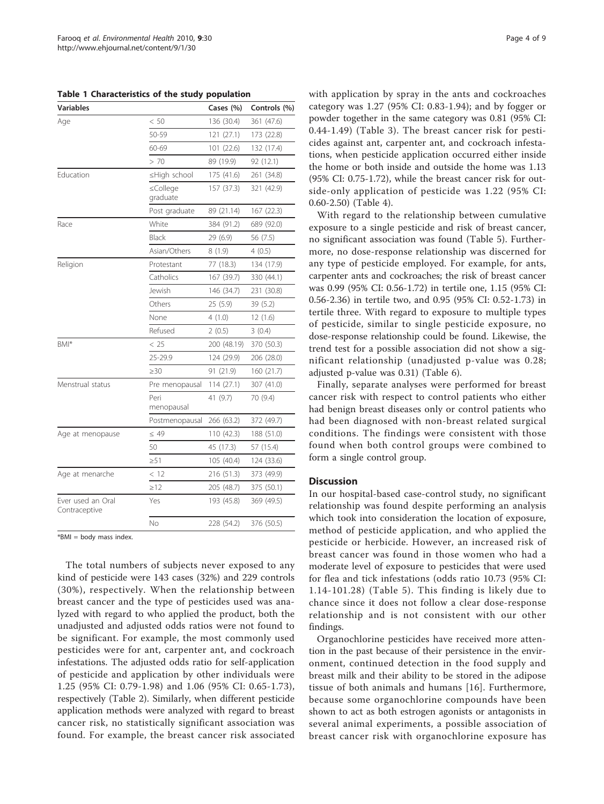<span id="page-3-0"></span>Table 1 Characteristics of the study population

| <b>Variables</b>                   |                      | Cases (%)   | Controls (%) |  |
|------------------------------------|----------------------|-------------|--------------|--|
| Age                                | < 50                 | 136 (30.4)  | 361 (47.6)   |  |
|                                    | 50-59                | 121 (27.1)  | 173 (22.8)   |  |
|                                    | 60-69                | 101 (22.6)  | 132 (17.4)   |  |
|                                    | > 70                 | 89 (19.9)   | 92 (12.1)    |  |
| Education                          | ≤High school         | 175 (41.6)  | 261 (34.8)   |  |
|                                    | ≤College<br>graduate | 157 (37.3)  | 321 (42.9)   |  |
|                                    | Post graduate        | 89 (21.14)  | 167 (22.3)   |  |
| Race                               | White                | 384 (91.2)  | 689 (92.0)   |  |
|                                    | Black                | 29 (6.9)    | 56 (7.5)     |  |
|                                    | Asian/Others         | 8(1.9)      | 4(0.5)       |  |
| Religion                           | Protestant           | 77 (18.3)   | 134 (17.9)   |  |
|                                    | Catholics            | 167 (39.7)  | 330 (44.1)   |  |
|                                    | Jewish               | 146 (34.7)  | 231 (30.8)   |  |
|                                    | Others               | 25 (5.9)    | 39 (5.2)     |  |
|                                    | None                 | 4(1.0)      | 12(1.6)      |  |
|                                    | Refused              | 2(0.5)      | 3(0.4)       |  |
| BMI*                               | < 25                 | 200 (48.19) | 370 (50.3)   |  |
|                                    | 25-29.9              | 124 (29.9)  | 206 (28.0)   |  |
|                                    | >30                  | 91 (21.9)   | 160 (21.7)   |  |
| Menstrual status                   | Pre menopausal       | 114(27.1)   | 307 (41.0)   |  |
|                                    | Peri<br>menopausal   | 41 (9.7)    | 70 (9.4)     |  |
|                                    | Postmenopausal       | 266 (63.2)  | 372 (49.7)   |  |
| Age at menopause                   | $\leq 49$            | 110 (42.3)  | 188 (51.0)   |  |
|                                    | 50                   | 45 (17.3)   | 57 (15.4)    |  |
|                                    | $\geq 51$            | 105 (40.4)  | 124 (33.6)   |  |
| Age at menarche                    | < 12                 | 216 (51.3)  | 373 (49.9)   |  |
|                                    | $\geq$ 12            | 205 (48.7)  | 375 (50.1)   |  |
| Ever used an Oral<br>Contraceptive | Yes                  | 193 (45.8)  | 369 (49.5)   |  |
|                                    | No                   | 228 (54.2)  | 376 (50.5)   |  |

 $*$ BMI = body mass index

The total numbers of subjects never exposed to any kind of pesticide were 143 cases (32%) and 229 controls (30%), respectively. When the relationship between breast cancer and the type of pesticides used was analyzed with regard to who applied the product, both the unadjusted and adjusted odds ratios were not found to be significant. For example, the most commonly used pesticides were for ant, carpenter ant, and cockroach infestations. The adjusted odds ratio for self-application of pesticide and application by other individuals were 1.25 (95% CI: 0.79-1.98) and 1.06 (95% CI: 0.65-1.73), respectively (Table [2\)](#page-4-0). Similarly, when different pesticide application methods were analyzed with regard to breast cancer risk, no statistically significant association was found. For example, the breast cancer risk associated with application by spray in the ants and cockroaches category was 1.27 (95% CI: 0.83-1.94); and by fogger or powder together in the same category was 0.81 (95% CI: 0.44-1.49) (Table [3\)](#page-4-0). The breast cancer risk for pesticides against ant, carpenter ant, and cockroach infestations, when pesticide application occurred either inside the home or both inside and outside the home was 1.13 (95% CI: 0.75-1.72), while the breast cancer risk for outside-only application of pesticide was 1.22 (95% CI: 0.60-2.50) (Table [4](#page-5-0)).

With regard to the relationship between cumulative exposure to a single pesticide and risk of breast cancer, no significant association was found (Table [5\)](#page-6-0). Furthermore, no dose-response relationship was discerned for any type of pesticide employed. For example, for ants, carpenter ants and cockroaches; the risk of breast cancer was 0.99 (95% CI: 0.56-1.72) in tertile one, 1.15 (95% CI: 0.56-2.36) in tertile two, and 0.95 (95% CI: 0.52-1.73) in tertile three. With regard to exposure to multiple types of pesticide, similar to single pesticide exposure, no dose-response relationship could be found. Likewise, the trend test for a possible association did not show a significant relationship (unadjusted p-value was 0.28; adjusted p-value was 0.31) (Table [6](#page-6-0)).

Finally, separate analyses were performed for breast cancer risk with respect to control patients who either had benign breast diseases only or control patients who had been diagnosed with non-breast related surgical conditions. The findings were consistent with those found when both control groups were combined to form a single control group.

#### **Discussion**

In our hospital-based case-control study, no significant relationship was found despite performing an analysis which took into consideration the location of exposure, method of pesticide application, and who applied the pesticide or herbicide. However, an increased risk of breast cancer was found in those women who had a moderate level of exposure to pesticides that were used for flea and tick infestations (odds ratio 10.73 (95% CI: 1.14-101.28) (Table [5\)](#page-6-0). This finding is likely due to chance since it does not follow a clear dose-response relationship and is not consistent with our other findings.

Organochlorine pesticides have received more attention in the past because of their persistence in the environment, continued detection in the food supply and breast milk and their ability to be stored in the adipose tissue of both animals and humans [[16](#page-7-0)]. Furthermore, because some organochlorine compounds have been shown to act as both estrogen agonists or antagonists in several animal experiments, a possible association of breast cancer risk with organochlorine exposure has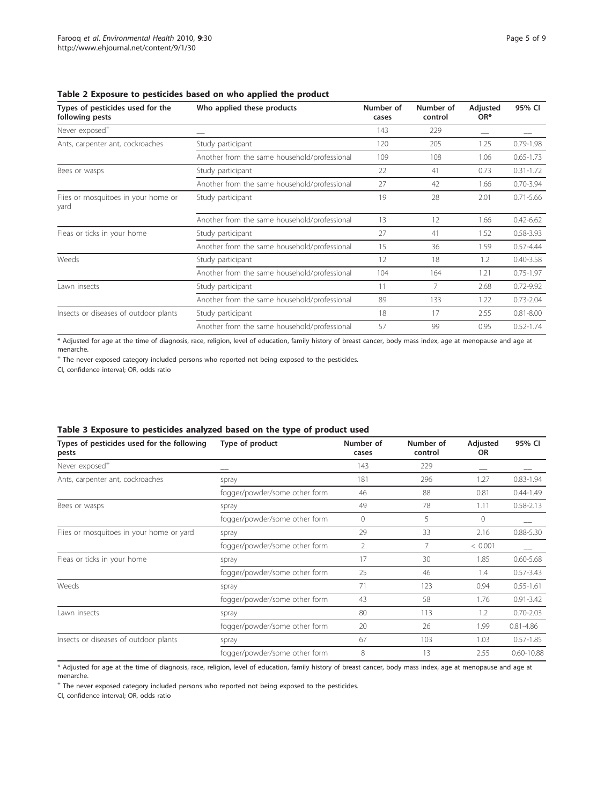| Types of pesticides used for the<br>Who applied these products<br>following pests |                                              | Number of<br>cases | Number of<br>control | Adjusted<br>OR <sup>*</sup> | 95% CI        |
|-----------------------------------------------------------------------------------|----------------------------------------------|--------------------|----------------------|-----------------------------|---------------|
| Never exposed <sup>+</sup>                                                        |                                              | 143                | 229                  |                             |               |
| Ants, carpenter ant, cockroaches                                                  | Study participant                            | 120                | 205                  | 1.25                        | $0.79 - 1.98$ |
|                                                                                   | Another from the same household/professional | 109                | 108                  | 1.06                        | $0.65 - 1.73$ |
| Bees or wasps                                                                     | Study participant                            | 22                 | 41                   | 0.73                        | $0.31 - 1.72$ |
|                                                                                   | Another from the same household/professional | 27                 | 42                   | 1.66                        | $0.70 - 3.94$ |
| Flies or mosquitoes in your home or<br>yard                                       | Study participant                            | 19                 | 28                   | 2.01                        | $0.71 - 5.66$ |
|                                                                                   | Another from the same household/professional | 13                 | 12                   | 1.66                        | $0.42 - 6.62$ |
| Fleas or ticks in your home                                                       | Study participant                            | 27                 | 41                   | 1.52                        | $0.58 - 3.93$ |
|                                                                                   | Another from the same household/professional | 15                 | 36                   | 1.59                        | $0.57 - 4.44$ |
| Weeds                                                                             | Study participant                            | 12                 | 18                   | 1.2                         | $0.40 - 3.58$ |
|                                                                                   | Another from the same household/professional | 104                | 164                  | 1.21                        | $0.75 - 1.97$ |
| Lawn insects                                                                      | Study participant                            | 11                 | 7                    | 2.68                        | $0.72 - 9.92$ |
|                                                                                   | Another from the same household/professional | 89                 | 133                  | 1.22                        | $0.73 - 2.04$ |
| Insects or diseases of outdoor plants                                             | Study participant                            | 18                 | 17                   | 2.55                        | $0.81 - 8.00$ |
|                                                                                   | Another from the same household/professional | 57                 | 99                   | 0.95                        | $0.52 - 1.74$ |

<span id="page-4-0"></span>Table 2 Exposure to pesticides based on who applied the product

\* Adjusted for age at the time of diagnosis, race, religion, level of education, family history of breast cancer, body mass index, age at menopause and age at menarche.

<sup>+</sup> The never exposed category included persons who reported not being exposed to the pesticides.

CI, confidence interval; OR, odds ratio

# Table 3 Exposure to pesticides analyzed based on the type of product used

| Types of pesticides used for the following<br>pests | Type of product               | Number of<br>cases | Number of<br>control | Adjusted<br><b>OR</b> | 95% CI         |
|-----------------------------------------------------|-------------------------------|--------------------|----------------------|-----------------------|----------------|
| Never exposed <sup>+</sup>                          |                               | 143                | 229                  |                       |                |
| Ants, carpenter ant, cockroaches                    | spray                         | 181                | 296                  | 1.27                  | $0.83 - 1.94$  |
|                                                     | fogger/powder/some other form | 46                 | 88                   | 0.81                  | $0.44 - 1.49$  |
| Bees or wasps                                       | spray                         | 49                 | 78                   | 1.11                  | $0.58 - 2.13$  |
|                                                     | fogger/powder/some other form | $\mathbf{0}$       | 5                    | $\Omega$              |                |
| Flies or mosquitoes in your home or yard            | spray                         | 29                 | 33                   | 2.16                  | $0.88 - 5.30$  |
|                                                     | fogger/powder/some other form | $\overline{2}$     | 7                    | < 0.001               |                |
| Fleas or ticks in your home                         | spray                         | 17                 | 30                   | 1.85                  | $0.60 - 5.68$  |
|                                                     | fogger/powder/some other form | 25                 | 46                   | 1.4                   | $0.57 - 3.43$  |
| Weeds                                               | spray                         | 71                 | 123                  | 0.94                  | $0.55 - 1.61$  |
|                                                     | fogger/powder/some other form | 43                 | 58                   | 1.76                  | $0.91 - 3.42$  |
| Lawn insects                                        | spray                         | 80                 | 113                  | 1.2                   | $0.70 - 2.03$  |
|                                                     | fogger/powder/some other form | 20                 | 26                   | 1.99                  | $0.81 - 4.86$  |
| Insects or diseases of outdoor plants               | spray                         | 67                 | 103                  | 1.03                  | $0.57 - 1.85$  |
|                                                     | fogger/powder/some other form | 8                  | 13                   | 2.55                  | $0.60 - 10.88$ |

\* Adjusted for age at the time of diagnosis, race, religion, level of education, family history of breast cancer, body mass index, age at menopause and age at menarche.

<sup>+</sup> The never exposed category included persons who reported not being exposed to the pesticides.

CI, confidence interval; OR, odds ratio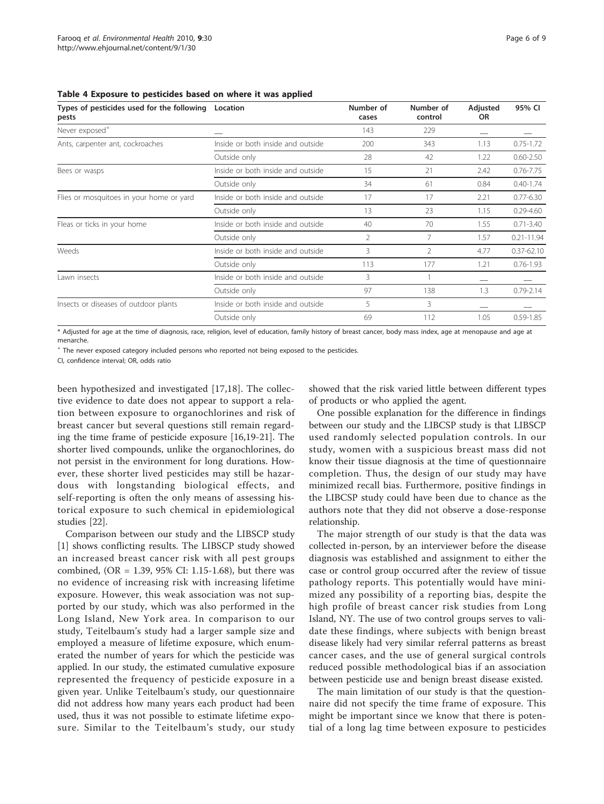| Types of pesticides used for the following<br>pests | Location                          | Number of<br>cases | Number of<br>control | Adjusted<br>OR. | 95% CI         |
|-----------------------------------------------------|-----------------------------------|--------------------|----------------------|-----------------|----------------|
| Never exposed <sup>+</sup>                          |                                   | 143                | 229                  |                 |                |
| Ants, carpenter ant, cockroaches                    | Inside or both inside and outside | 200                | 343                  | 1.13            | $0.75 - 1.72$  |
|                                                     | Outside only                      | 28                 | 42                   | 1.22            | $0.60 - 2.50$  |
| Bees or wasps                                       | Inside or both inside and outside | 15                 | 21                   | 2.42            | $0.76 - 7.75$  |
|                                                     | Outside only                      | 34                 | 61                   | 0.84            | $0.40 - 1.74$  |
| Flies or mosquitoes in your home or yard            | Inside or both inside and outside | 17                 | 17                   | 2.21            | $0.77 - 6.30$  |
|                                                     | Outside only                      | 13                 | 23                   | 1.15            | $0.29 - 4.60$  |
| Fleas or ticks in your home                         | Inside or both inside and outside | 40                 | 70                   | 1.55            | $0.71 - 3.40$  |
|                                                     | Outside only                      | 2                  |                      | 1.57            | $0.21 - 11.94$ |
| Weeds                                               | Inside or both inside and outside | 3                  | $\mathcal{P}$        | 4.77            | $0.37 - 62.10$ |
|                                                     | Outside only                      | 113                | 177                  | 1.21            | $0.76 - 1.93$  |
| Lawn insects                                        | Inside or both inside and outside | 3                  |                      |                 |                |
|                                                     | Outside only                      | 97                 | 138                  | 1.3             | $0.79 - 2.14$  |
| Insects or diseases of outdoor plants               | Inside or both inside and outside | 5                  | 3                    |                 |                |
|                                                     | Outside only                      | 69                 | 112                  | 1.05            | $0.59 - 1.85$  |

#### <span id="page-5-0"></span>Table 4 Exposure to pesticides based on where it was applied

\* Adjusted for age at the time of diagnosis, race, religion, level of education, family history of breast cancer, body mass index, age at menopause and age at menarche.

<sup>+</sup> The never exposed category included persons who reported not being exposed to the pesticides.

CI, confidence interval; OR, odds ratio

been hypothesized and investigated [[17,18](#page-7-0)]. The collective evidence to date does not appear to support a relation between exposure to organochlorines and risk of breast cancer but several questions still remain regarding the time frame of pesticide exposure [[16](#page-7-0),[19](#page-8-0)-[21\]](#page-8-0). The shorter lived compounds, unlike the organochlorines, do not persist in the environment for long durations. However, these shorter lived pesticides may still be hazardous with longstanding biological effects, and self-reporting is often the only means of assessing historical exposure to such chemical in epidemiological studies [\[22\]](#page-8-0).

Comparison between our study and the LIBSCP study [[1\]](#page-7-0) shows conflicting results. The LIBSCP study showed an increased breast cancer risk with all pest groups combined, (OR = 1.39, 95% CI: 1.15-1.68), but there was no evidence of increasing risk with increasing lifetime exposure. However, this weak association was not supported by our study, which was also performed in the Long Island, New York area. In comparison to our study, Teitelbaum's study had a larger sample size and employed a measure of lifetime exposure, which enumerated the number of years for which the pesticide was applied. In our study, the estimated cumulative exposure represented the frequency of pesticide exposure in a given year. Unlike Teitelbaum's study, our questionnaire did not address how many years each product had been used, thus it was not possible to estimate lifetime exposure. Similar to the Teitelbaum's study, our study

showed that the risk varied little between different types of products or who applied the agent.

One possible explanation for the difference in findings between our study and the LIBCSP study is that LIBSCP used randomly selected population controls. In our study, women with a suspicious breast mass did not know their tissue diagnosis at the time of questionnaire completion. Thus, the design of our study may have minimized recall bias. Furthermore, positive findings in the LIBCSP study could have been due to chance as the authors note that they did not observe a dose-response relationship.

The major strength of our study is that the data was collected in-person, by an interviewer before the disease diagnosis was established and assignment to either the case or control group occurred after the review of tissue pathology reports. This potentially would have minimized any possibility of a reporting bias, despite the high profile of breast cancer risk studies from Long Island, NY. The use of two control groups serves to validate these findings, where subjects with benign breast disease likely had very similar referral patterns as breast cancer cases, and the use of general surgical controls reduced possible methodological bias if an association between pesticide use and benign breast disease existed.

The main limitation of our study is that the questionnaire did not specify the time frame of exposure. This might be important since we know that there is potential of a long lag time between exposure to pesticides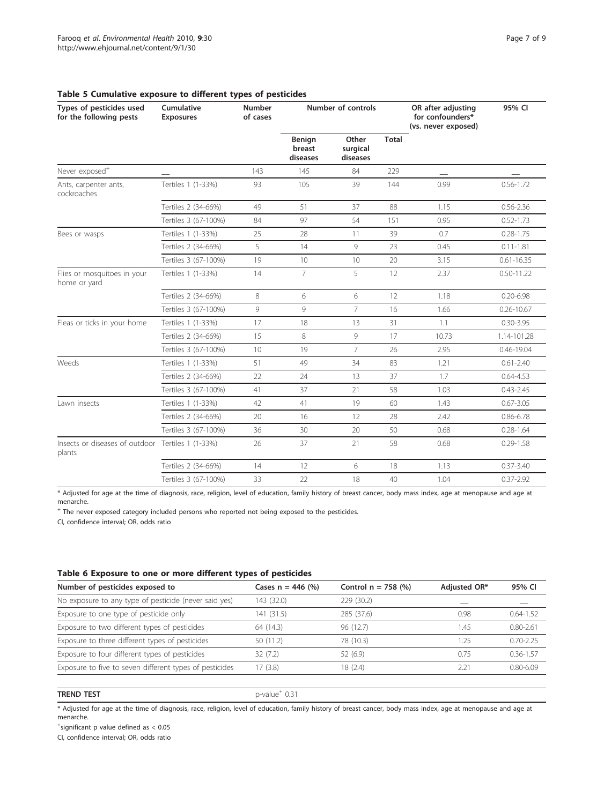| Types of pesticides used<br>for the following pests         | Cumulative<br><b>Exposures</b> | <b>Number</b><br>of cases | <b>Number of controls</b>    |                               |       | OR after adjusting<br>for confounders*<br>(vs. never exposed) | 95% CI         |
|-------------------------------------------------------------|--------------------------------|---------------------------|------------------------------|-------------------------------|-------|---------------------------------------------------------------|----------------|
|                                                             |                                |                           | Benign<br>breast<br>diseases | Other<br>surgical<br>diseases | Total |                                                               |                |
| Never exposed <sup>+</sup>                                  |                                | 143                       | 145                          | 84                            | 229   |                                                               |                |
| Ants, carpenter ants,<br>cockroaches                        | Tertiles 1 (1-33%)             | 93                        | 105                          | 39                            | 144   | 0.99                                                          | $0.56 - 1.72$  |
|                                                             | Tertiles 2 (34-66%)            | 49                        | 51                           | 37                            | 88    | 1.15                                                          | $0.56 - 2.36$  |
|                                                             | Tertiles 3 (67-100%)           | 84                        | 97                           | 54                            | 151   | 0.95                                                          | $0.52 - 1.73$  |
| Bees or wasps                                               | Tertiles 1 (1-33%)             | 25                        | 28                           | 11                            | 39    | 0.7                                                           | $0.28 - 1.75$  |
|                                                             | Tertiles 2 (34-66%)            | 5                         | 14                           | 9                             | 23    | 0.45                                                          | $0.11 - 1.81$  |
|                                                             | Tertiles 3 (67-100%)           | 19                        | 10                           | 10                            | 20    | 3.15                                                          | $0.61 - 16.35$ |
| Flies or mosquitoes in your<br>home or yard                 | Tertiles 1 (1-33%)             | 14                        | $\overline{7}$               | 5                             | 12    | 2.37                                                          | $0.50 - 11.22$ |
|                                                             | Tertiles 2 (34-66%)            | 8                         | 6                            | 6                             | 12    | 1.18                                                          | $0.20 - 6.98$  |
|                                                             | Tertiles 3 (67-100%)           | $\circ$                   | $\mathcal{Q}$                | $\overline{7}$                | 16    | 1.66                                                          | $0.26 - 10.67$ |
| Fleas or ticks in your home                                 | Tertiles 1 (1-33%)             | 17                        | 18                           | 13                            | 31    | 1.1                                                           | $0.30 - 3.95$  |
|                                                             | Tertiles 2 (34-66%)            | 15                        | 8                            | 9                             | 17    | 10.73                                                         | 1.14-101.28    |
|                                                             | Tertiles 3 (67-100%)           | 10                        | 19                           | $\overline{7}$                | 26    | 2.95                                                          | 0.46-19.04     |
| Weeds                                                       | Tertiles 1 (1-33%)             | 51                        | 49                           | 34                            | 83    | 1.21                                                          | $0.61 - 2.40$  |
|                                                             | Tertiles 2 (34-66%)            | 22                        | 24                           | 13                            | 37    | 1.7                                                           | $0.64 - 4.53$  |
|                                                             | Tertiles 3 (67-100%)           | 41                        | 37                           | 21                            | 58    | 1.03                                                          | $0.43 - 2.45$  |
| Lawn insects                                                | Tertiles 1 (1-33%)             | 42                        | 41                           | 19                            | 60    | 1.43                                                          | $0.67 - 3.05$  |
|                                                             | Tertiles 2 (34-66%)            | 20                        | 16                           | 12                            | 28    | 2.42                                                          | $0.86 - 6.78$  |
|                                                             | Tertiles 3 (67-100%)           | 36                        | 30                           | 20                            | 50    | 0.68                                                          | $0.28 - 1.64$  |
| Insects or diseases of outdoor Tertiles 1 (1-33%)<br>plants |                                | 26                        | 37                           | 21                            | 58    | 0.68                                                          | $0.29 - 1.58$  |
|                                                             | Tertiles 2 (34-66%)            | 14                        | 12                           | 6                             | 18    | 1.13                                                          | $0.37 - 3.40$  |
|                                                             | Tertiles 3 (67-100%)           | 33                        | 22                           | 18                            | 40    | 1.04                                                          | $0.37 - 2.92$  |

## <span id="page-6-0"></span>Table 5 Cumulative exposure to different types of pesticides

\* Adjusted for age at the time of diagnosis, race, religion, level of education, family history of breast cancer, body mass index, age at menopause and age at menarche.

<sup>+</sup> The never exposed category included persons who reported not being exposed to the pesticides.

CI, confidence interval; OR, odds ratio

# Table 6 Exposure to one or more different types of pesticides

| Number of pesticides exposed to                         | Cases $n = 446$ (%) | Control $n = 758$ (%) | Adjusted OR* | 95% CI        |
|---------------------------------------------------------|---------------------|-----------------------|--------------|---------------|
| No exposure to any type of pesticide (never said yes)   | 143 (32.0)          | 229 (30.2)            |              |               |
| Exposure to one type of pesticide only                  | 141 (31.5)          | 285 (37.6)            | 0.98         | $0.64 - 1.52$ |
| Exposure to two different types of pesticides           | 64 (14.3)           | 96 (12.7)             | .45          | $0.80 - 2.61$ |
| Exposure to three different types of pesticides         | 50 (11.2)           | 78 (10.3)             | .25          | $0.70 - 2.25$ |
| Exposure to four different types of pesticides          | 32(7.2)             | 52 (6.9)              | 0.75         | $0.36 - 1.57$ |
| Exposure to five to seven different types of pesticides | 17(3.8)             | 18 (2.4)              | 221          | $0.80 - 6.09$ |

#### **TREND TEST** p-value<sup>+</sup>  $0.31$

\* Adjusted for age at the time of diagnosis, race, religion, level of education, family history of breast cancer, body mass index, age at menopause and age at menarche.

+ significant p value defined as < 0.05

CI, confidence interval; OR, odds ratio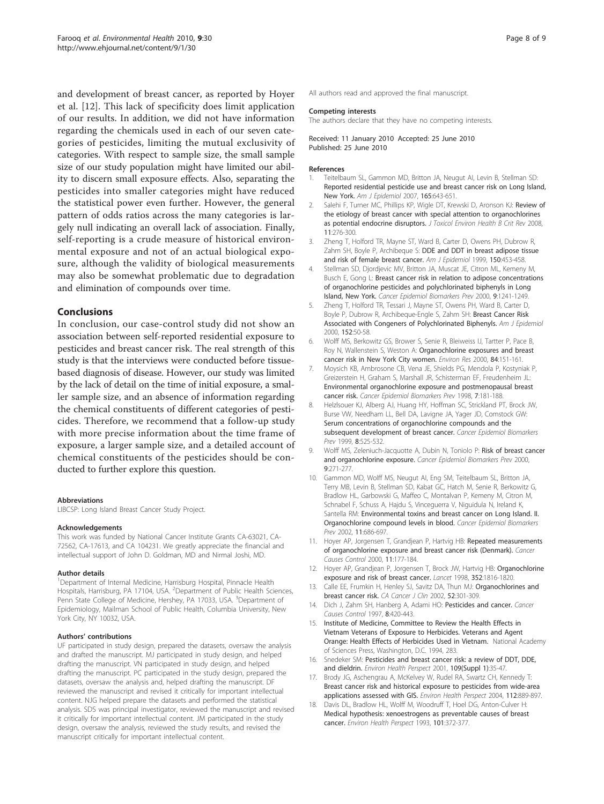<span id="page-7-0"></span>and development of breast cancer, as reported by Hoyer et al. [12]. This lack of specificity does limit application of our results. In addition, we did not have information regarding the chemicals used in each of our seven categories of pesticides, limiting the mutual exclusivity of categories. With respect to sample size, the small sample size of our study population might have limited our ability to discern small exposure effects. Also, separating the pesticides into smaller categories might have reduced the statistical power even further. However, the general pattern of odds ratios across the many categories is largely null indicating an overall lack of association. Finally, self-reporting is a crude measure of historical environmental exposure and not of an actual biological exposure, although the validity of biological measurements may also be somewhat problematic due to degradation and elimination of compounds over time.

# Conclusions

In conclusion, our case-control study did not show an association between self-reported residential exposure to pesticides and breast cancer risk. The real strength of this study is that the interviews were conducted before tissuebased diagnosis of disease. However, our study was limited by the lack of detail on the time of initial exposure, a smaller sample size, and an absence of information regarding the chemical constituents of different categories of pesticides. Therefore, we recommend that a follow-up study with more precise information about the time frame of exposure, a larger sample size, and a detailed account of chemical constituents of the pesticides should be conducted to further explore this question.

#### Abbreviations

LIBCSP: Long Island Breast Cancer Study Project.

#### Acknowledgements

This work was funded by National Cancer Institute Grants CA-63021, CA-72562, CA-17613, and CA 104231. We greatly appreciate the financial and intellectual support of John D. Goldman, MD and Nirmal Joshi, MD.

#### Author details

<sup>1</sup>Department of Internal Medicine, Harrisburg Hospital, Pinnacle Health Hospitals, Harrisburg, PA 17104, USA. <sup>2</sup>Department of Public Health Sciences, Penn State College of Medicine, Hershey, PA 17033, USA. <sup>3</sup>Department of Epidemiology, Mailman School of Public Health, Columbia University, New York City, NY 10032, USA.

#### Authors' contributions

UF participated in study design, prepared the datasets, oversaw the analysis and drafted the manuscript. MJ participated in study design, and helped drafting the manuscript. VN participated in study design, and helped drafting the manuscript. PC participated in the study design, prepared the datasets, oversaw the analysis and, helped drafting the manuscript. DF reviewed the manuscript and revised it critically for important intellectual content. NJG helped prepare the datasets and performed the statistical analysis. SDS was principal investigator, reviewed the manuscript and revised it critically for important intellectual content. JM participated in the study design, oversaw the analysis, reviewed the study results, and revised the manuscript critically for important intellectual content.

All authors read and approved the final manuscript.

#### Competing interests

The authors declare that they have no competing interests.

Received: 11 January 2010 Accepted: 25 June 2010 Published: 25 June 2010

#### References

- 1. Teitelbaum SL, Gammon MD, Britton JA, Neugut AI, Levin B, Stellman SD: [Reported residential pesticide use and breast cancer risk on Long Island,](http://www.ncbi.nlm.nih.gov/pubmed/17166928?dopt=Abstract) [New York.](http://www.ncbi.nlm.nih.gov/pubmed/17166928?dopt=Abstract) Am J Epidemiol 2007, 165:643-651.
- 2. Salehi F, Turner MC, Phillips KP, Wigle DT, Krewski D, Aronson KJ: [Review of](http://www.ncbi.nlm.nih.gov/pubmed/18368557?dopt=Abstract) [the etiology of breast cancer with special attention to organochlorines](http://www.ncbi.nlm.nih.gov/pubmed/18368557?dopt=Abstract) [as potential endocrine disruptors.](http://www.ncbi.nlm.nih.gov/pubmed/18368557?dopt=Abstract) J Toxicol Environ Health B Crit Rev 2008, 11:276-300.
- 3. Zheng T, Holford TR, Mayne ST, Ward B, Carter D, Owens PH, Dubrow R, Zahm SH, Boyle P, Archibeque S: [DDE and DDT in breast adipose tissue](http://www.ncbi.nlm.nih.gov/pubmed/10472944?dopt=Abstract) [and risk of female breast cancer.](http://www.ncbi.nlm.nih.gov/pubmed/10472944?dopt=Abstract) Am J Epidemiol 1999, 150:453-458.
- 4. Stellman SD, Djordjevic MV, Britton JA, Muscat JE, Citron ML, Kemeny M, Busch E, Gong L: [Breast cancer risk in relation to adipose concentrations](http://www.ncbi.nlm.nih.gov/pubmed/11097233?dopt=Abstract) [of organochlorine pesticides and polychlorinated biphenyls in Long](http://www.ncbi.nlm.nih.gov/pubmed/11097233?dopt=Abstract) [Island, New York.](http://www.ncbi.nlm.nih.gov/pubmed/11097233?dopt=Abstract) Cancer Epidemiol Biomarkers Prev 2000, 9:1241-1249.
- 5. Zheng T, Holford TR, Tessari J, Mayne ST, Owens PH, Ward B, Carter D, Boyle P, Dubrow R, Archibeque-Engle S, Zahm SH: [Breast Cancer Risk](http://www.ncbi.nlm.nih.gov/pubmed/10901329?dopt=Abstract) [Associated with Congeners of Polychlorinated Biphenyls.](http://www.ncbi.nlm.nih.gov/pubmed/10901329?dopt=Abstract) Am J Epidemiol 2000, 152:50-58.
- 6. Wolff MS, Berkowitz GS, Brower S, Senie R, Bleiweiss IJ, Tartter P, Pace B, Roy N, Wallenstein S, Weston A: [Organochlorine exposures and breast](http://www.ncbi.nlm.nih.gov/pubmed/11068929?dopt=Abstract) [cancer risk in New York City women.](http://www.ncbi.nlm.nih.gov/pubmed/11068929?dopt=Abstract) Environ Res 2000, 84:151-161.
- 7. Moysich KB, Ambrosone CB, Vena JE, Shields PG, Mendola P, Kostyniak P, Greizerstein H, Graham S, Marshall JR, Schisterman EF, Freudenheim JL: [Environmental organochlorine exposure and postmenopausal breast](http://www.ncbi.nlm.nih.gov/pubmed/9521429?dopt=Abstract) [cancer risk.](http://www.ncbi.nlm.nih.gov/pubmed/9521429?dopt=Abstract) Cancer Epidemiol Biomarkers Prev 1998, 7:181-188.
- 8. Helzlsouer KJ, Alberg AJ, Huang HY, Hoffman SC, Strickland PT, Brock JW, Burse VW, Needham LL, Bell DA, Lavigne JA, Yager JD, Comstock GW: [Serum concentrations of organochlorine compounds and the](http://www.ncbi.nlm.nih.gov/pubmed/10385143?dopt=Abstract) [subsequent development of breast cancer.](http://www.ncbi.nlm.nih.gov/pubmed/10385143?dopt=Abstract) Cancer Epidemiol Biomarkers Prev 1999, 8:525-532.
- 9. Wolff MS, Zeleniuch-Jacquotte A, Dubin N, Toniolo P: [Risk of breast cancer](http://www.ncbi.nlm.nih.gov/pubmed/10750665?dopt=Abstract) [and organochlorine exposure.](http://www.ncbi.nlm.nih.gov/pubmed/10750665?dopt=Abstract) Cancer Epidemiol Biomarkers Prev 2000, 9:271-277.
- 10. Gammon MD, Wolff MS, Neugut AI, Eng SM, Teitelbaum SL, Britton JA, Terry MB, Levin B, Stellman SD, Kabat GC, Hatch M, Senie R, Berkowitz G, Bradlow HL, Garbowski G, Maffeo C, Montalvan P, Kemeny M, Citron M, Schnabel F, Schuss A, Hajdu S, Vinceguerra V, Niguidula N, Ireland K, Santella RM: [Environmental toxins and breast cancer on Long Island. II.](http://www.ncbi.nlm.nih.gov/pubmed/12163320?dopt=Abstract) [Organochlorine compound levels in blood.](http://www.ncbi.nlm.nih.gov/pubmed/12163320?dopt=Abstract) Cancer Epidemiol Biomarkers Prev 2002, 11:686-697.
- 11. Hoyer AP, Jorgensen T, Grandjean P, Hartvig HB: [Repeated measurements](http://www.ncbi.nlm.nih.gov/pubmed/10710203?dopt=Abstract) [of organochlorine exposure and breast cancer risk \(Denmark\).](http://www.ncbi.nlm.nih.gov/pubmed/10710203?dopt=Abstract) Cancer Causes Control 2000, 11:177-184.
- 12. Hoyer AP, Grandjean P, Jorgensen T, Brock JW, Hartvig HB: [Organochlorine](http://www.ncbi.nlm.nih.gov/pubmed/9851382?dopt=Abstract) [exposure and risk of breast cancer.](http://www.ncbi.nlm.nih.gov/pubmed/9851382?dopt=Abstract) Lancet 1998, 352:1816-1820.
- 13. Calle EE, Frumkin H, Henley SJ, Savitz DA, Thun MJ: [Organochlorines and](http://www.ncbi.nlm.nih.gov/pubmed/12363327?dopt=Abstract) [breast cancer risk.](http://www.ncbi.nlm.nih.gov/pubmed/12363327?dopt=Abstract) CA Cancer J Clin 2002, 52:301-309.
- 14. Dich J, Zahm SH, Hanberg A, Adami HO: [Pesticides and cancer.](http://www.ncbi.nlm.nih.gov/pubmed/9498903?dopt=Abstract) Cancer Causes Control 1997, 8:420-443.
- 15. Institute of Medicine, Committee to Review the Health Effects in Vietnam Veterans of Exposure to Herbicides. Veterans and Agent Orange: Health Effects of Herbicides Used in Vietnam. National Academy of Sciences Press, Washington, D.C. 1994, 283.
- 16. Snedeker SM: [Pesticides and breast cancer risk: a review of DDT, DDE,](http://www.ncbi.nlm.nih.gov/pubmed/11250804?dopt=Abstract) [and dieldrin.](http://www.ncbi.nlm.nih.gov/pubmed/11250804?dopt=Abstract) Environ Health Perspect 2001, 109(Suppl 1):35-47.
- 17. Brody JG, Aschengrau A, McKelvey W, Rudel RA, Swartz CH, Kennedy T: [Breast cancer risk and historical exposure to pesticides from wide-area](http://www.ncbi.nlm.nih.gov/pubmed/15175178?dopt=Abstract) [applications assessed with GIS.](http://www.ncbi.nlm.nih.gov/pubmed/15175178?dopt=Abstract) Environ Health Perspect 2004, 112:889-897.
- 18. Davis DL, Bradlow HL, Wolff M, Woodruff T, Hoel DG, Anton-Culver H: [Medical hypothesis: xenoestrogens as preventable causes of breast](http://www.ncbi.nlm.nih.gov/pubmed/8119245?dopt=Abstract) [cancer.](http://www.ncbi.nlm.nih.gov/pubmed/8119245?dopt=Abstract) Environ Health Perspect 1993, 101:372-377.